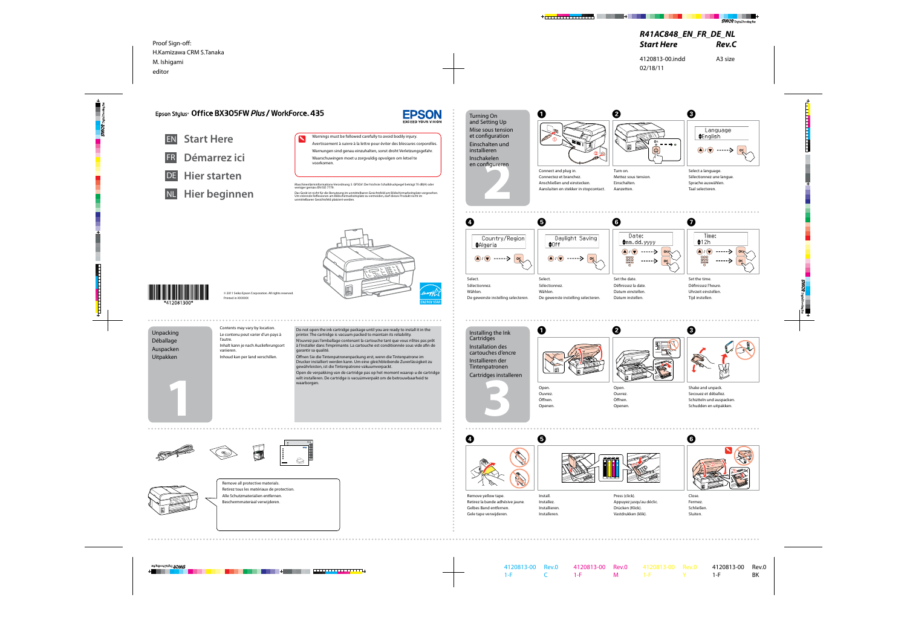**1**



© 2011 Seiko Epson Corporation. All rights reserved



Printed in XXXXXX

Connect and plug in. Connectez et branchez. Anschließen und einstecken. Aansluiten en stekker in stopcontact.

A

Mettez sous tension. Einschalten. Aanzetten.





Select a language. Sélectionnez une langue. Sprache auswählen. Taal selecteren.



Open. Ouvrez. Öffnen. Openen.





- **Hier starten**
- NL **Hier beginnen**

Do not open the ink cartridge package until you are ready printer. The cartridge is vacuum packed to maintain its reliability. N'ouvrez pas l'emballage contenant la cartouche tant que vous n'êtes pas prêt à l'installer dans l'imprimante. La cartouche est conditionnée sous vide afin de garantir sa qualité.

Warnings must be followed carefully to avoid bodily injury. Avertissement à suivre à la lettre pour éviter des blessures corporelles. Warnungen sind genau einzuhalten, sonst droht Verletzungsgefahr. Waarschuwingen moet u zorgvuldig opvolgen om letsel te voorkomen.







![](_page_0_Picture_26.jpeg)

Öffnen Sie die Tintenpatronenpackung erst, wenn die Tintenpatrone im Drucker installiert werden kann. Um eine gleichbleibende Zuverlässigkeit zu gewährleisten, ist die Tintenpatrone vakuumverpackt.

Open de verpakking van de cartridge pas op het moment waarop u de cartridge wilt installeren. De cartridge is vacuümverpakt om de betrouwbaarheid te waarborgen.

Contents may vary by location. Le contenu peut varier d'un pays à l'autre. Inhalt kann je nach Auslieferungsort variieren. Inhoud kan per land verschillen.

## Epson Stylus<sup>®</sup> Office BX305FW Plus / WorkForce. 435

![](_page_0_Picture_1.jpeg)

![](_page_0_Figure_2.jpeg)

Démarrez ici

Unpacking Déballage Auspacken Uitpakken

## Turning On and Setting Up

Mise sous tension et configuration

Einschalten und

![](_page_0_Picture_21.jpeg)

Set the date. Définissez la date. Datum einstellen. Datum instellen.

![](_page_0_Picture_41.jpeg)

| Sélectionnez.                      | Sélectionnez.                      |
|------------------------------------|------------------------------------|
| Wählen.                            | Wählen.                            |
| De gewenste instelling selecteren. | De gewenste instelling selecteren. |
|                                    |                                    |
|                                    |                                    |

Set the time. Définissez l'heure. Uhrzeit einstellen. Tijd instellen.

![](_page_0_Picture_43.jpeg)

Shake and unpack. Secouez et déballez. Schütteln und auspacken. Schudden en uitpakken.

![](_page_0_Picture_48.jpeg)

Remove all protective materials. Retirez tous les matériaux de protection. Alle Schutzmaterialien entfernen. Beschermmateriaal verwijderen.

![](_page_0_Picture_19.jpeg)

Install. Installez. Installieren. Installeren.

![](_page_0_Picture_27.jpeg)

![](_page_0_Picture_28.jpeg)

Close. Fermez. Schließen. Sluiten.

![](_page_0_Picture_50.jpeg)

. . . . . . . . . . . . .

Press (click). Appuyez jusqu'au déclic. Drücken (Klick). Vastdrukken (klik).

Remove yellow tape. Retirez la bande adhésive jaune. Gelbes Band entfernen. Gele tape verwijderen.

Maschinenlärminformations-Verordnung 3. GPSGV: Der höchste Schalldruckpegel beträgt 70 dB(A) oder weniger gemäss EN ISO 7779.

Das Gerät ist nicht für die Benutzung im unmittelbaren Gesichtsfeld am Bildschirmarbeitsplatz vorgesehen.<br>Um störende Reflexionen am Bildschirmarbeitsplatz zu vermeiden, darf dieses Produkt nicht im<br>unmittelbaren Gesichtsf

![](_page_0_Picture_9.jpeg)

![](_page_0_Picture_10.jpeg)